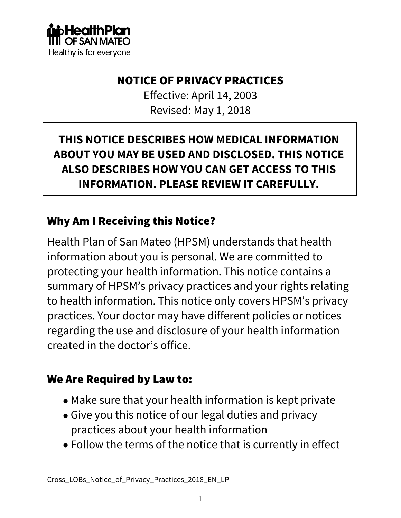

#### NOTICE OF PRIVACY PRACTICES

Effective: April 14, 2003 Revised: May 1, 2018

## **THIS NOTICE DESCRIBES HOW MEDICAL INFORMATION ABOUT YOU MAY BE USED AND DISCLOSED. THIS NOTICE ALSO DESCRIBES HOW YOU CAN GET ACCESS TO THIS INFORMATION. PLEASE REVIEW IT CAREFULLY.**

#### Why Am I Receiving this Notice?

Health Plan of San Mateo (HPSM) understands that health information about you is personal. We are committed to protecting your health information. This notice contains a summary of HPSM's privacy practices and your rights relating to health information. This notice only covers HPSM's privacy practices. Your doctor may have different policies or notices regarding the use and disclosure of your health information created in the doctor's office.

#### We Are Required by Law to:

- Make sure that your health information is kept private
- Give you this notice of our legal duties and privacy practices about your health information
- Follow the terms of the notice that is currently in effect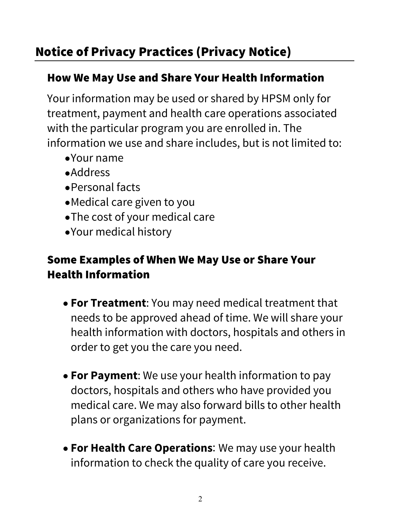#### How We May Use and Share Your Health Information

Your information may be used or shared by HPSM only for treatment, payment and health care operations associated with the particular program you are enrolled in. The information we use and share includes, but is not limited to:

- •Your name
- •Address
- •Personal facts
- •Medical care given to you
- •The cost of your medical care
- •Your medical history

## Some Examples of When We May Use or Share Your Health Information

- **For Treatment**: You may need medical treatment that needs to be approved ahead of time. We will share your health information with doctors, hospitals and others in order to get you the care you need.
- **For Payment**: We use your health information to pay doctors, hospitals and others who have provided you medical care. We may also forward bills to other health plans or organizations for payment.
- **For Health Care Operations**: We may use your health information to check the quality of care you receive.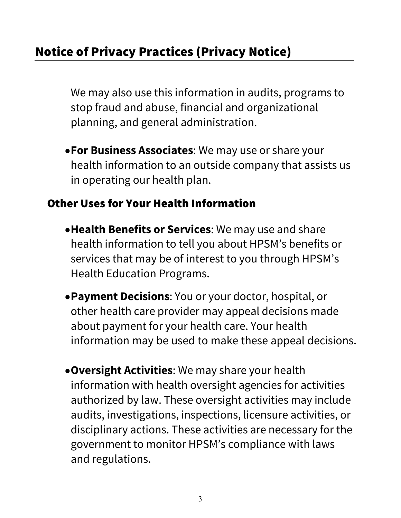We may also use this information in audits, programs to stop fraud and abuse, financial and organizational planning, and general administration.

•**For Business Associates**: We may use or share your health information to an outside company that assists us in operating our health plan.

### Other Uses for Your Health Information

- •**Health Benefits or Services**: We may use and share health information to tell you about HPSM's benefits or services that may be of interest to you through HPSM's Health Education Programs.
- •**Payment Decisions**: You or your doctor, hospital, or other health care provider may appeal decisions made about payment for your health care. Your health information may be used to make these appeal decisions.
- •**Oversight Activities**: We may share your health information with health oversight agencies for activities authorized by law. These oversight activities may include audits, investigations, inspections, licensure activities, or disciplinary actions. These activities are necessary for the government to monitor HPSM's compliance with laws and regulations.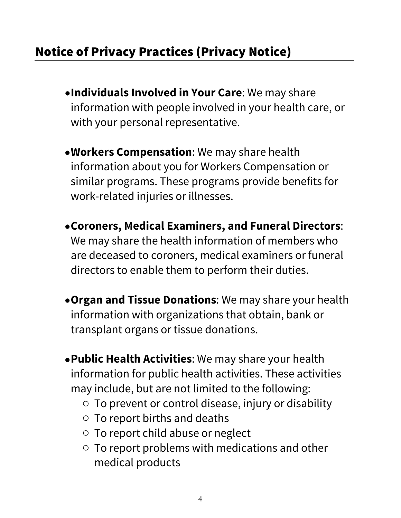- •**Individuals Involved in Your Care**: We may share information with people involved in your health care, or with your personal representative.
- •**Workers Compensation**: We may share health information about you for Workers Compensation or similar programs. These programs provide benefits for work-related injuries or illnesses.
- •**Coroners, Medical Examiners, and Funeral Directors**: We may share the health information of members who are deceased to coroners, medical examiners or funeral directors to enable them to perform their duties.
- •**Organ and Tissue Donations**: We may share your health information with organizations that obtain, bank or transplant organs or tissue donations.
- •**Public Health Activities**: We may share your health information for public health activities. These activities may include, but are not limited to the following:
	- $\circ$  To prevent or control disease, injury or disability
	- o To report births and deaths
	- o To report child abuse or neglect
	- o To report problems with medications and other medical products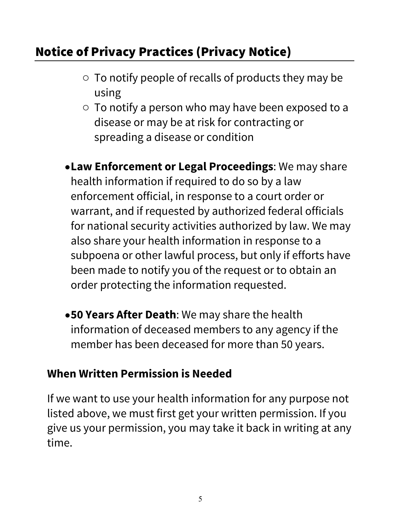- o To notify people of recalls of products they may be using
- o To notify a person who may have been exposed to a disease or may be at risk for contracting or spreading a disease or condition
- •**Law Enforcement or Legal Proceedings**: We may share health information if required to do so by a law enforcement official, in response to a court order or warrant, and if requested by authorized federal officials for national security activities authorized by law. We may also share your health information in response to a subpoena or other lawful process, but only if efforts have been made to notify you of the request or to obtain an order protecting the information requested.
- •**50 Years After Death**: We may share the health information of deceased members to any agency if the member has been deceased for more than 50 years.

#### **When Written Permission is Needed**

If we want to use your health information for any purpose not listed above, we must first get your written permission. If you give us your permission, you may take it back in writing at any time.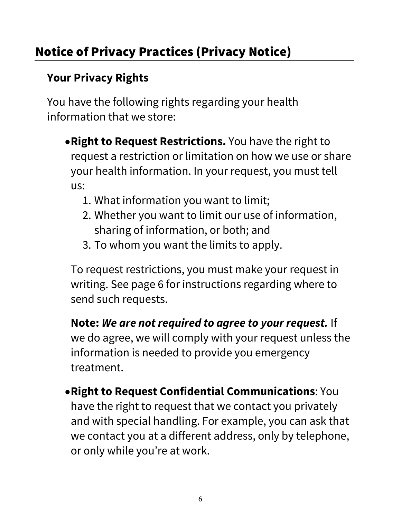## **Your Privacy Rights**

You have the following rights regarding your health information that we store:

- •**Right to Request Restrictions.** You have the right to request a restriction or limitation on how we use or share your health information. In your request, you must tell us:
	- 1. What information you want to limit;
	- 2. Whether you want to limit our use of information, sharing of information, or both; and
	- 3. To whom you want the limits to apply.

To request restrictions, you must make your request in writing. See page 6 for instructions regarding where to send such requests.

**Note:** *We are not required to agree to your request.* If we do agree, we will comply with your request unless the information is needed to provide you emergency treatment.

•**Right to Request Confidential Communications**: You have the right to request that we contact you privately and with special handling. For example, you can ask that we contact you at a different address, only by telephone, or only while you're at work.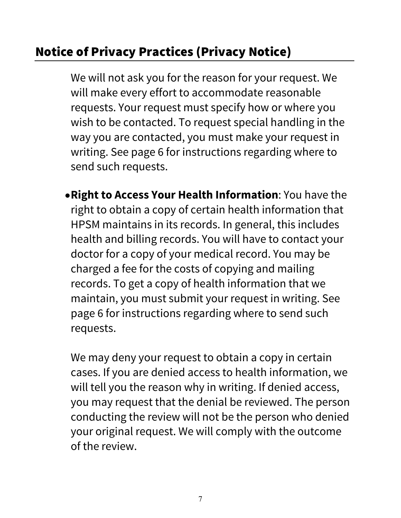We will not ask you for the reason for your request. We will make every effort to accommodate reasonable requests. Your request must specify how or where you wish to be contacted. To request special handling in the way you are contacted, you must make your request in writing. See page 6 for instructions regarding where to send such requests.

•**Right to Access Your Health Information**: You have the right to obtain a copy of certain health information that HPSM maintains in its records. In general, this includes health and billing records. You will have to contact your doctor for a copy of your medical record. You may be charged a fee for the costs of copying and mailing records. To get a copy of health information that we maintain, you must submit your request in writing. See page 6 for instructions regarding where to send such requests.

We may deny your request to obtain a copy in certain cases. If you are denied access to health information, we will tell you the reason why in writing. If denied access, you may request that the denial be reviewed. The person conducting the review will not be the person who denied your original request. We will comply with the outcome of the review.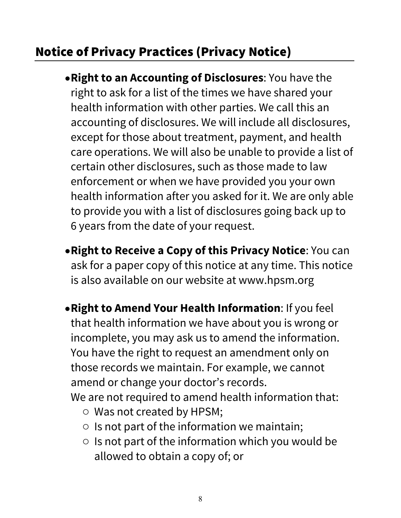- •**Right to an Accounting of Disclosures**: You have the right to ask for a list of the times we have shared your health information with other parties. We call this an accounting of disclosures. We will include all disclosures, except for those about treatment, payment, and health care operations. We will also be unable to provide a list of certain other disclosures, such as those made to law enforcement or when we have provided you your own health information after you asked for it. We are only able to provide you with a list of disclosures going back up to 6 years from the date of your request.
- •**Right to Receive a Copy of this Privacy Notice**: You can ask for a paper copy of this notice at any time. This notice is also available on our website at www.hpsm.org
- •**Right to Amend Your Health Information**: If you feel that health information we have about you is wrong or incomplete, you may ask us to amend the information. You have the right to request an amendment only on those records we maintain. For example, we cannot amend or change your doctor's records.

We are not required to amend health information that:

- o Was not created by HPSM;
- $\circ$  Is not part of the information we maintain;
- $\circ$  Is not part of the information which you would be allowed to obtain a copy of; or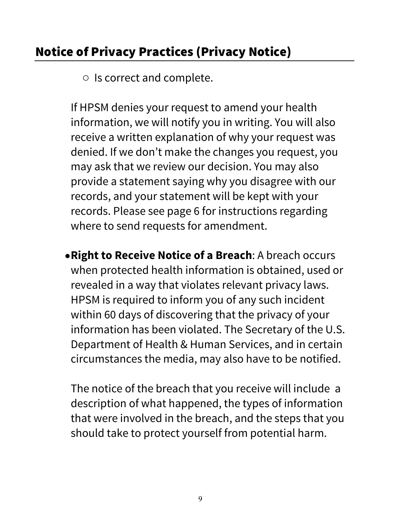o Is correct and complete.

If HPSM denies your request to amend your health information, we will notify you in writing. You will also receive a written explanation of why your request was denied. If we don't make the changes you request, you may ask that we review our decision. You may also provide a statement saying why you disagree with our records, and your statement will be kept with your records. Please see page 6 for instructions regarding where to send requests for amendment.

•**Right to Receive Notice of a Breach**: A breach occurs when protected health information is obtained, used or revealed in a way that violates relevant privacy laws. HPSM is required to inform you of any such incident within 60 days of discovering that the privacy of your information has been violated. The Secretary of the U.S. Department of Health & Human Services, and in certain circumstances the media, may also have to be notified.

The notice of the breach that you receive will include a description of what happened, the types of information that were involved in the breach, and the steps that you should take to protect yourself from potential harm.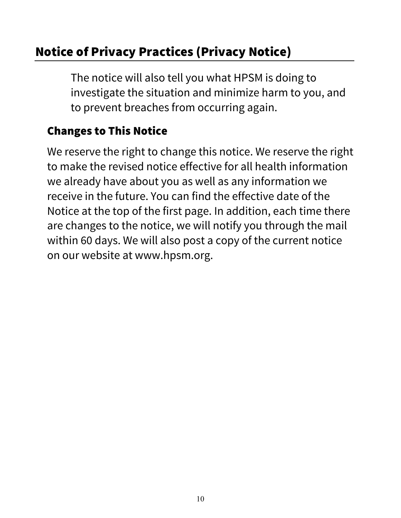The notice will also tell you what HPSM is doing to investigate the situation and minimize harm to you, and to prevent breaches from occurring again.

## Changes to This Notice

We reserve the right to change this notice. We reserve the right to make the revised notice effective for all health information we already have about you as well as any information we receive in the future. You can find the effective date of the Notice at the top of the first page. In addition, each time there are changes to the notice, we will notify you through the mail within 60 days. We will also post a copy of the current notice on our website at www.hpsm.org.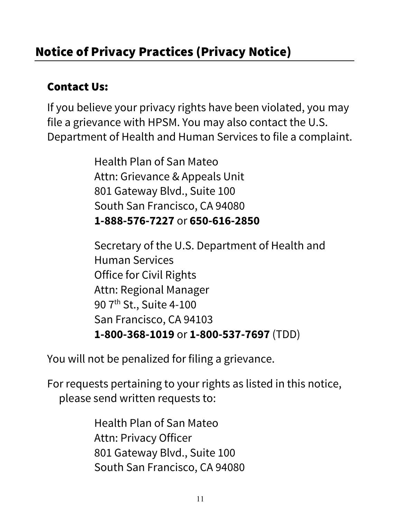## Contact Us:

If you believe your privacy rights have been violated, you may file a grievance with HPSM. You may also contact the U.S. Department of Health and Human Services to file a complaint.

> Health Plan of San Mateo Attn: Grievance & Appeals Unit 801 Gateway Blvd., Suite 100 South San Francisco, CA 94080 **1-888-576-7227** or **650-616-2850**

Secretary of the U.S. Department of Health and Human Services Office for Civil Rights Attn: Regional Manager 90 7<sup>th</sup> St., Suite 4-100 San Francisco, CA 94103 **1-800-368-1019** or **1-800-537-7697** (TDD)

You will not be penalized for filing a grievance.

For requests pertaining to your rights as listed in this notice, please send written requests to:

> Health Plan of San Mateo Attn: Privacy Officer 801 Gateway Blvd., Suite 100 South San Francisco, CA 94080